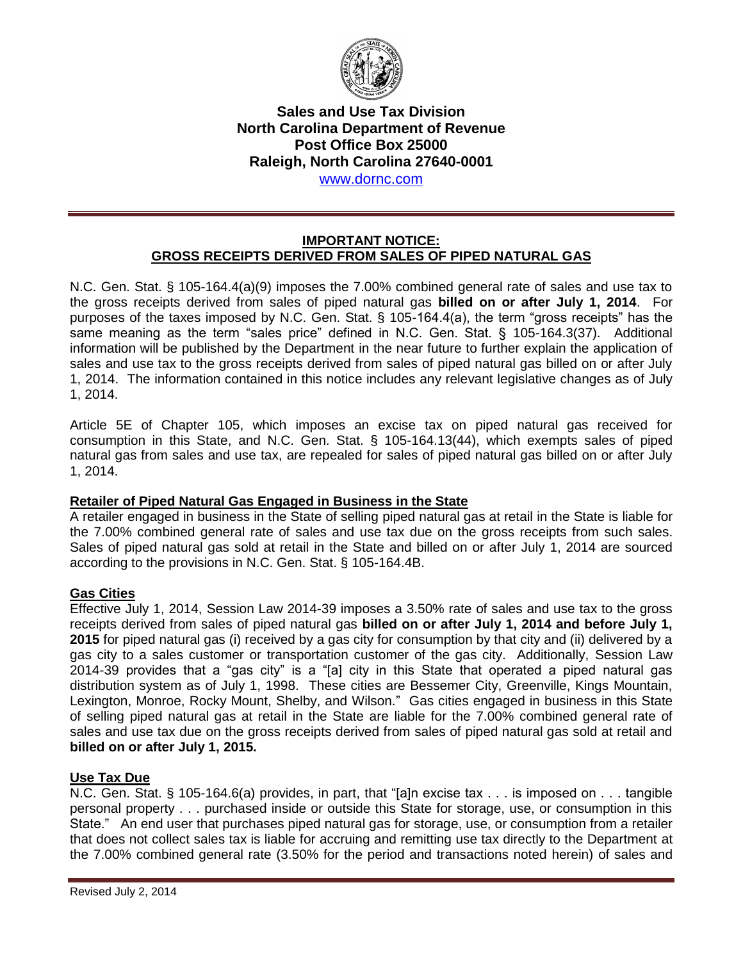

# **Sales and Use Tax Division North Carolina Department of Revenue Post Office Box 25000 Raleigh, North Carolina 27640-0001**

www.dornc.com

#### **IMPORTANT NOTICE: GROSS RECEIPTS DERIVED FROM SALES OF PIPED NATURAL GAS**

N.C. Gen. Stat. § 105-164.4(a)(9) imposes the 7.00% combined general rate of sales and use tax to the gross receipts derived from sales of piped natural gas **billed on or after July 1, 2014**. For purposes of the taxes imposed by N.C. Gen. Stat. § 105-164.4(a), the term "gross receipts" has the same meaning as the term "sales price" defined in N.C. Gen. Stat. § 105-164.3(37). Additional information will be published by the Department in the near future to further explain the application of sales and use tax to the gross receipts derived from sales of piped natural gas billed on or after July 1, 2014. The information contained in this notice includes any relevant legislative changes as of July 1, 2014.

Article 5E of Chapter 105, which imposes an excise tax on piped natural gas received for consumption in this State, and N.C. Gen. Stat. § 105-164.13(44), which exempts sales of piped natural gas from sales and use tax, are repealed for sales of piped natural gas billed on or after July 1, 2014.

#### **Retailer of Piped Natural Gas Engaged in Business in the State**

A retailer engaged in business in the State of selling piped natural gas at retail in the State is liable for the 7.00% combined general rate of sales and use tax due on the gross receipts from such sales. Sales of piped natural gas sold at retail in the State and billed on or after July 1, 2014 are sourced according to the provisions in N.C. Gen. Stat. § 105-164.4B.

# **Gas Cities**

Effective July 1, 2014, Session Law 2014-39 imposes a 3.50% rate of sales and use tax to the gross receipts derived from sales of piped natural gas **billed on or after July 1, 2014 and before July 1, 2015** for piped natural gas (i) received by a gas city for consumption by that city and (ii) delivered by a gas city to a sales customer or transportation customer of the gas city. Additionally, Session Law 2014-39 provides that a "gas city" is a "[a] city in this State that operated a piped natural gas distribution system as of July 1, 1998. These cities are Bessemer City, Greenville, Kings Mountain, Lexington, Monroe, Rocky Mount, Shelby, and Wilson." Gas cities engaged in business in this State of selling piped natural gas at retail in the State are liable for the 7.00% combined general rate of sales and use tax due on the gross receipts derived from sales of piped natural gas sold at retail and **billed on or after July 1, 2015.**

#### **Use Tax Due**

N.C. Gen. Stat. § 105-164.6(a) provides, in part, that "[a]n excise tax . . . is imposed on . . . tangible personal property . . . purchased inside or outside this State for storage, use, or consumption in this State." An end user that purchases piped natural gas for storage, use, or consumption from a retailer that does not collect sales tax is liable for accruing and remitting use tax directly to the Department at the 7.00% combined general rate (3.50% for the period and transactions noted herein) of sales and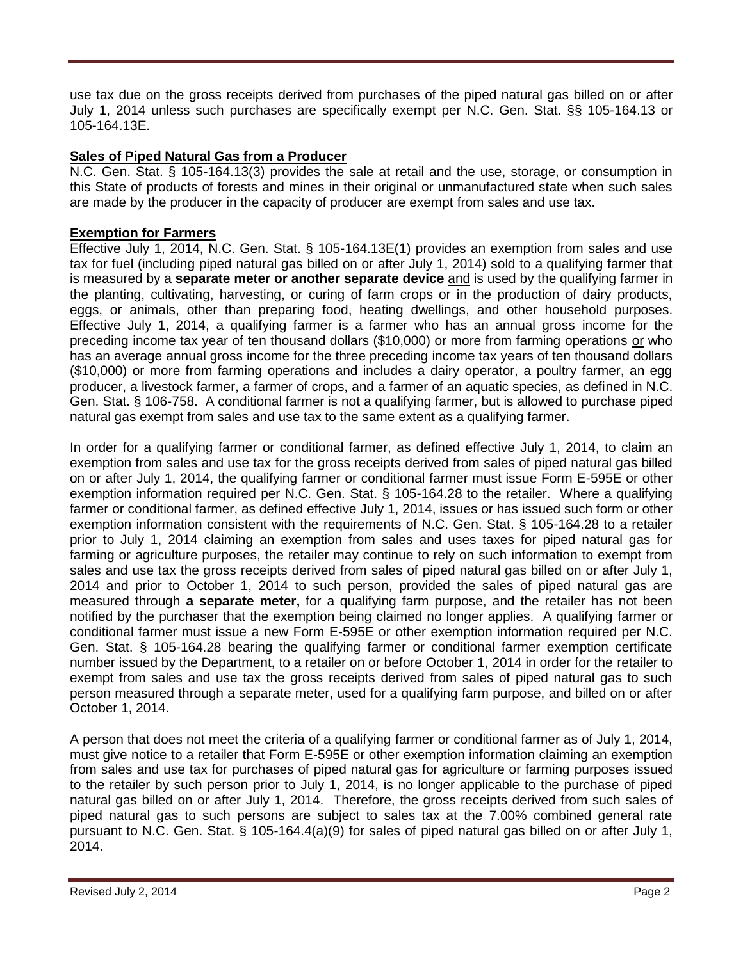use tax due on the gross receipts derived from purchases of the piped natural gas billed on or after July 1, 2014 unless such purchases are specifically exempt per N.C. Gen. Stat. §§ 105-164.13 or 105-164.13E.

## **Sales of Piped Natural Gas from a Producer**

N.C. Gen. Stat. § 105-164.13(3) provides the sale at retail and the use, storage, or consumption in this State of products of forests and mines in their original or unmanufactured state when such sales are made by the producer in the capacity of producer are exempt from sales and use tax.

## **Exemption for Farmers**

Effective July 1, 2014, N.C. Gen. Stat. § 105-164.13E(1) provides an exemption from sales and use tax for fuel (including piped natural gas billed on or after July 1, 2014) sold to a qualifying farmer that is measured by a **separate meter or another separate device** and is used by the qualifying farmer in the planting, cultivating, harvesting, or curing of farm crops or in the production of dairy products, eggs, or animals, other than preparing food, heating dwellings, and other household purposes. Effective July 1, 2014, a qualifying farmer is a farmer who has an annual gross income for the preceding income tax year of ten thousand dollars (\$10,000) or more from farming operations or who has an average annual gross income for the three preceding income tax years of ten thousand dollars (\$10,000) or more from farming operations and includes a dairy operator, a poultry farmer, an egg producer, a livestock farmer, a farmer of crops, and a farmer of an aquatic species, as defined in N.C. Gen. Stat. § 106-758. A conditional farmer is not a qualifying farmer, but is allowed to purchase piped natural gas exempt from sales and use tax to the same extent as a qualifying farmer.

In order for a qualifying farmer or conditional farmer, as defined effective July 1, 2014, to claim an exemption from sales and use tax for the gross receipts derived from sales of piped natural gas billed on or after July 1, 2014, the qualifying farmer or conditional farmer must issue Form E-595E or other exemption information required per N.C. Gen. Stat. § 105-164.28 to the retailer. Where a qualifying farmer or conditional farmer, as defined effective July 1, 2014, issues or has issued such form or other exemption information consistent with the requirements of N.C. Gen. Stat. § 105-164.28 to a retailer prior to July 1, 2014 claiming an exemption from sales and uses taxes for piped natural gas for farming or agriculture purposes, the retailer may continue to rely on such information to exempt from sales and use tax the gross receipts derived from sales of piped natural gas billed on or after July 1, 2014 and prior to October 1, 2014 to such person, provided the sales of piped natural gas are measured through **a separate meter,** for a qualifying farm purpose, and the retailer has not been notified by the purchaser that the exemption being claimed no longer applies. A qualifying farmer or conditional farmer must issue a new Form E-595E or other exemption information required per N.C. Gen. Stat. § 105-164.28 bearing the qualifying farmer or conditional farmer exemption certificate number issued by the Department, to a retailer on or before October 1, 2014 in order for the retailer to exempt from sales and use tax the gross receipts derived from sales of piped natural gas to such person measured through a separate meter, used for a qualifying farm purpose, and billed on or after October 1, 2014.

A person that does not meet the criteria of a qualifying farmer or conditional farmer as of July 1, 2014, must give notice to a retailer that Form E-595E or other exemption information claiming an exemption from sales and use tax for purchases of piped natural gas for agriculture or farming purposes issued to the retailer by such person prior to July 1, 2014, is no longer applicable to the purchase of piped natural gas billed on or after July 1, 2014. Therefore, the gross receipts derived from such sales of piped natural gas to such persons are subject to sales tax at the 7.00% combined general rate pursuant to N.C. Gen. Stat. § 105-164.4(a)(9) for sales of piped natural gas billed on or after July 1, 2014.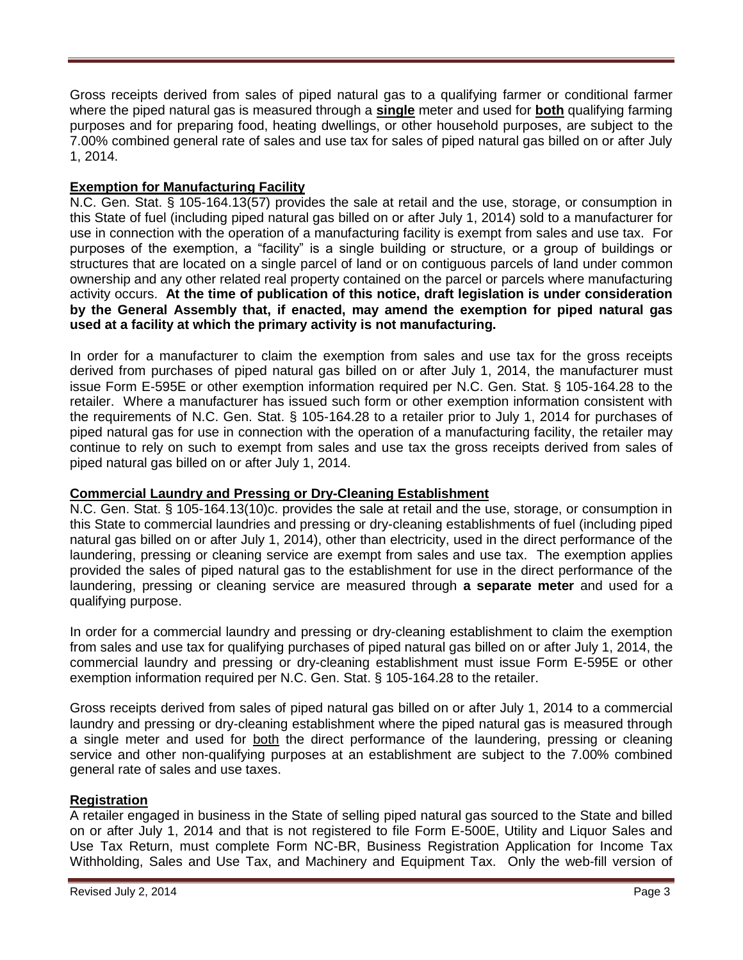Gross receipts derived from sales of piped natural gas to a qualifying farmer or conditional farmer where the piped natural gas is measured through a **single** meter and used for **both** qualifying farming purposes and for preparing food, heating dwellings, or other household purposes, are subject to the 7.00% combined general rate of sales and use tax for sales of piped natural gas billed on or after July 1, 2014.

## **Exemption for Manufacturing Facility**

N.C. Gen. Stat. § 105-164.13(57) provides the sale at retail and the use, storage, or consumption in this State of fuel (including piped natural gas billed on or after July 1, 2014) sold to a manufacturer for use in connection with the operation of a manufacturing facility is exempt from sales and use tax.For purposes of the exemption, a "facility" is a single building or structure, or a group of buildings or structures that are located on a single parcel of land or on contiguous parcels of land under common ownership and any other related real property contained on the parcel or parcels where manufacturing activity occurs. **At the time of publication of this notice, draft legislation is under consideration by the General Assembly that, if enacted, may amend the exemption for piped natural gas used at a facility at which the primary activity is not manufacturing.**

In order for a manufacturer to claim the exemption from sales and use tax for the gross receipts derived from purchases of piped natural gas billed on or after July 1, 2014, the manufacturer must issue Form E-595E or other exemption information required per N.C. Gen. Stat. § 105-164.28 to the retailer. Where a manufacturer has issued such form or other exemption information consistent with the requirements of N.C. Gen. Stat. § 105-164.28 to a retailer prior to July 1, 2014 for purchases of piped natural gas for use in connection with the operation of a manufacturing facility, the retailer may continue to rely on such to exempt from sales and use tax the gross receipts derived from sales of piped natural gas billed on or after July 1, 2014.

#### **Commercial Laundry and Pressing or Dry-Cleaning Establishment**

N.C. Gen. Stat. § 105-164.13(10)c. provides the sale at retail and the use, storage, or consumption in this State to commercial laundries and pressing or dry-cleaning establishments of fuel (including piped natural gas billed on or after July 1, 2014), other than electricity, used in the direct performance of the laundering, pressing or cleaning service are exempt from sales and use tax. The exemption applies provided the sales of piped natural gas to the establishment for use in the direct performance of the laundering, pressing or cleaning service are measured through **a separate meter** and used for a qualifying purpose.

In order for a commercial laundry and pressing or dry-cleaning establishment to claim the exemption from sales and use tax for qualifying purchases of piped natural gas billed on or after July 1, 2014, the commercial laundry and pressing or dry-cleaning establishment must issue Form E-595E or other exemption information required per N.C. Gen. Stat. § 105-164.28 to the retailer.

Gross receipts derived from sales of piped natural gas billed on or after July 1, 2014 to a commercial laundry and pressing or dry-cleaning establishment where the piped natural gas is measured through a single meter and used for both the direct performance of the laundering, pressing or cleaning service and other non-qualifying purposes at an establishment are subject to the 7.00% combined general rate of sales and use taxes.

# **Registration**

A retailer engaged in business in the State of selling piped natural gas sourced to the State and billed on or after July 1, 2014 and that is not registered to file Form E-500E, Utility and Liquor Sales and Use Tax Return, must complete Form NC-BR, Business Registration Application for Income Tax Withholding, Sales and Use Tax, and Machinery and Equipment Tax.Only the web-fill version of